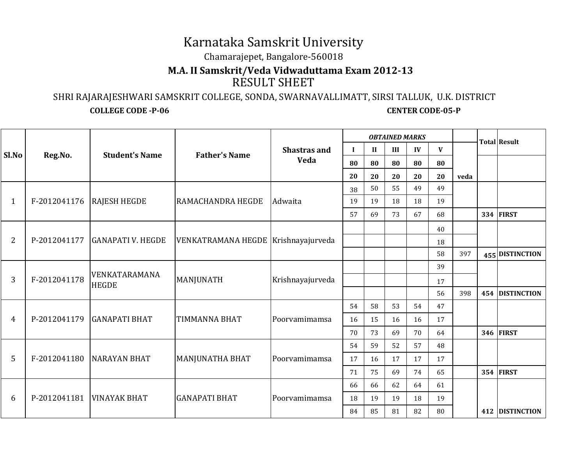## Karnataka Samskrit University

Chamarajepet, Bangalore-560018

## **M.A. II Samskrit/Veda Vidwaduttama Exam 2012-13**RESULT SHEET

 SHRI RAJARAJESHWARI SAMSKRIT COLLEGE, SONDA, SWARNAVALLIMATT, SIRSI TALLUK, U.K. DISTRICT**COLLEGE CODE -P-06 CENTER CODE-05-P** 

| Sl.No          | Reg.No.                   | <b>Student's Name</b>                      | <b>Father's Name</b>                | <b>Shastras and</b><br>Veda |             |              | <b>OBTAINED MARKS</b> |    |              | <b>Total Result</b> |                  |
|----------------|---------------------------|--------------------------------------------|-------------------------------------|-----------------------------|-------------|--------------|-----------------------|----|--------------|---------------------|------------------|
|                |                           |                                            |                                     |                             | $\mathbf I$ | $\mathbf{I}$ | III                   | IV | $\mathbf{V}$ |                     |                  |
|                |                           |                                            |                                     |                             | 80          | 80           | 80                    | 80 | 80           |                     |                  |
|                |                           |                                            |                                     |                             | 20          | 20           | 20                    | 20 | 20           | veda                |                  |
| $\mathbf{1}$   | F-2012041176 RAJESH HEGDE |                                            | RAMACHANDRA HEGDE                   | Adwaita                     | 38          | 50           | 55                    | 49 | 49           |                     |                  |
|                |                           |                                            |                                     |                             | 19          | 19           | 18                    | 18 | 19           |                     |                  |
|                |                           |                                            |                                     |                             | 57          | 69           | 73                    | 67 | 68           |                     | <b>334 FIRST</b> |
| $\overline{2}$ |                           | P-2012041177 GANAPATI V. HEGDE             | VENKATRAMANA HEGDE Krishnayajurveda |                             |             |              |                       |    | 40           |                     |                  |
|                |                           |                                            |                                     |                             |             |              |                       |    | 18           |                     |                  |
|                |                           |                                            |                                     |                             |             |              |                       |    | 58           | 397                 | 455 DISTINCTION  |
| 3              | F-2012041178              | VENKATARAMANA<br>MANJUNATH<br><b>HEGDE</b> |                                     | Krishnayajurveda            |             |              |                       |    | 39           |                     |                  |
|                |                           |                                            |                                     |                             |             |              |                       |    | 17           |                     |                  |
|                |                           |                                            |                                     |                             |             |              |                       |    | 56           | 398                 | 454 DISTINCTION  |
| 4              |                           | P-2012041179 GANAPATI BHAT                 | <b>TIMMANNA BHAT</b>                | Poorvamimamsa               | 54          | 58           | 53                    | 54 | 47           |                     |                  |
|                |                           |                                            |                                     |                             | 16          | 15           | 16                    | 16 | 17           |                     |                  |
|                |                           |                                            |                                     |                             | 70          | 73           | 69                    | 70 | 64           |                     | <b>346 FIRST</b> |
| 5              |                           | F-2012041180 NARAYAN BHAT                  | MANJUNATHA BHAT                     | Poorvamimamsa               | 54          | 59           | 52                    | 57 | 48           |                     |                  |
|                |                           |                                            |                                     |                             | 17          | 16           | 17                    | 17 | 17           |                     |                  |
|                |                           |                                            |                                     |                             | 71          | 75           | 69                    | 74 | 65           |                     | <b>354 FIRST</b> |
| 6              |                           | P-2012041181   VINAYAK BHAT                | <b>GANAPATI BHAT</b>                | Poorvamimamsa               | 66          | 66           | 62                    | 64 | 61           |                     |                  |
|                |                           |                                            |                                     |                             | 18          | 19           | 19                    | 18 | 19           |                     |                  |
|                |                           |                                            |                                     |                             | 84          | 85           | 81                    | 82 | 80           |                     | 412 DISTINCTION  |